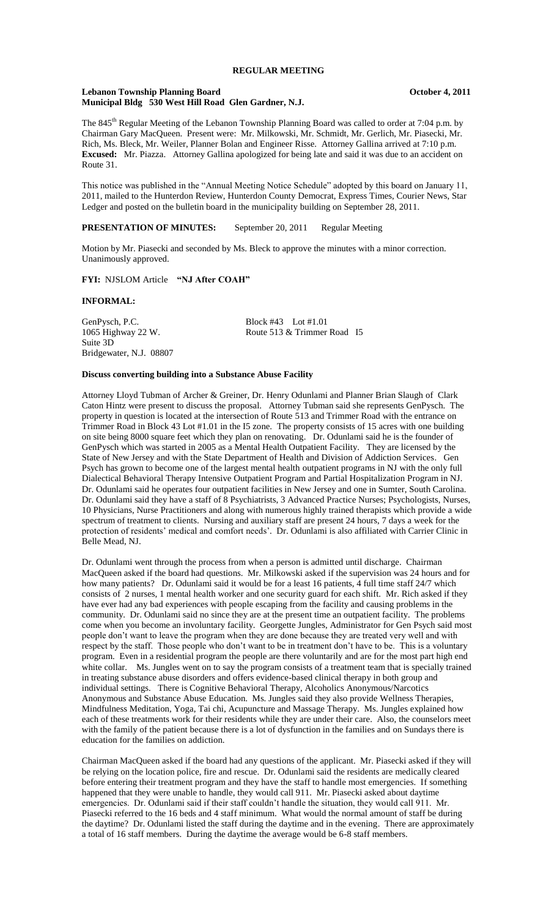# **REGULAR MEETING**

### **Lebanon Township Planning Board October 4, 2011 Municipal Bldg 530 West Hill Road Glen Gardner, N.J.**

The 845<sup>th</sup> Regular Meeting of the Lebanon Township Planning Board was called to order at 7:04 p.m. by Chairman Gary MacQueen. Present were: Mr. Milkowski, Mr. Schmidt, Mr. Gerlich, Mr. Piasecki, Mr. Rich, Ms. Bleck, Mr. Weiler, Planner Bolan and Engineer Risse. Attorney Gallina arrived at 7:10 p.m. **Excused:** Mr. Piazza. Attorney Gallina apologized for being late and said it was due to an accident on Route 31.

This notice was published in the "Annual Meeting Notice Schedule" adopted by this board on January 11, 2011, mailed to the Hunterdon Review, Hunterdon County Democrat, Express Times, Courier News, Star Ledger and posted on the bulletin board in the municipality building on September 28, 2011.

### **PRESENTATION OF MINUTES:** September 20, 2011 Regular Meeting

Motion by Mr. Piasecki and seconded by Ms. Bleck to approve the minutes with a minor correction. Unanimously approved.

## **FYI:** NJSLOM Article **"NJ After COAH"**

### **INFORMAL:**

GenPysch, P.C.<br>
1065 Highway 22 W.<br>
Route 513 & Trimmer Suite 3D Bridgewater, N.J. 08807

Route 513 & Trimmer Road I5

#### **Discuss converting building into a Substance Abuse Facility**

Attorney Lloyd Tubman of Archer & Greiner, Dr. Henry Odunlami and Planner Brian Slaugh of Clark Caton Hintz were present to discuss the proposal. Attorney Tubman said she represents GenPysch. The property in question is located at the intersection of Route 513 and Trimmer Road with the entrance on Trimmer Road in Block 43 Lot #1.01 in the I5 zone. The property consists of 15 acres with one building on site being 8000 square feet which they plan on renovating. Dr. Odunlami said he is the founder of GenPysch which was started in 2005 as a Mental Health Outpatient Facility. They are licensed by the State of New Jersey and with the State Department of Health and Division of Addiction Services. Gen Psych has grown to become one of the largest mental health outpatient programs in NJ with the only full Dialectical Behavioral Therapy Intensive Outpatient Program and Partial Hospitalization Program in NJ. Dr. Odunlami said he operates four outpatient facilities in New Jersey and one in Sumter, South Carolina. Dr. Odunlami said they have a staff of 8 Psychiatrists, 3 Advanced Practice Nurses; Psychologists, Nurses, 10 Physicians, Nurse Practitioners and along with numerous highly trained therapists which provide a wide spectrum of treatment to clients. Nursing and auxiliary staff are present 24 hours, 7 days a week for the protection of residents' medical and comfort needs'. Dr. Odunlami is also affiliated with Carrier Clinic in Belle Mead, NJ.

Dr. Odunlami went through the process from when a person is admitted until discharge. Chairman MacQueen asked if the board had questions. Mr. Milkowski asked if the supervision was 24 hours and for how many patients? Dr. Odunlami said it would be for a least 16 patients, 4 full time staff 24/7 which consists of 2 nurses, 1 mental health worker and one security guard for each shift. Mr. Rich asked if they have ever had any bad experiences with people escaping from the facility and causing problems in the community. Dr. Odunlami said no since they are at the present time an outpatient facility. The problems come when you become an involuntary facility. Georgette Jungles, Administrator for Gen Psych said most people don't want to leave the program when they are done because they are treated very well and with respect by the staff. Those people who don't want to be in treatment don't have to be. This is a voluntary program. Even in a residential program the people are there voluntarily and are for the most part high end white collar. Ms. Jungles went on to say the program consists of a treatment team that is specially trained in treating substance abuse disorders and offers evidence-based clinical therapy in both group and individual settings. There is Cognitive Behavioral Therapy, Alcoholics Anonymous/Narcotics Anonymous and Substance Abuse Education. Ms. Jungles said they also provide Wellness Therapies, Mindfulness Meditation, Yoga, Tai chi, Acupuncture and Massage Therapy. Ms. Jungles explained how each of these treatments work for their residents while they are under their care. Also, the counselors meet with the family of the patient because there is a lot of dysfunction in the families and on Sundays there is education for the families on addiction.

Chairman MacQueen asked if the board had any questions of the applicant. Mr. Piasecki asked if they will be relying on the location police, fire and rescue. Dr. Odunlami said the residents are medically cleared before entering their treatment program and they have the staff to handle most emergencies. If something happened that they were unable to handle, they would call 911. Mr. Piasecki asked about daytime emergencies. Dr. Odunlami said if their staff couldn't handle the situation, they would call 911. Mr. Piasecki referred to the 16 beds and 4 staff minimum. What would the normal amount of staff be during the daytime? Dr. Odunlami listed the staff during the daytime and in the evening. There are approximately a total of 16 staff members. During the daytime the average would be 6-8 staff members.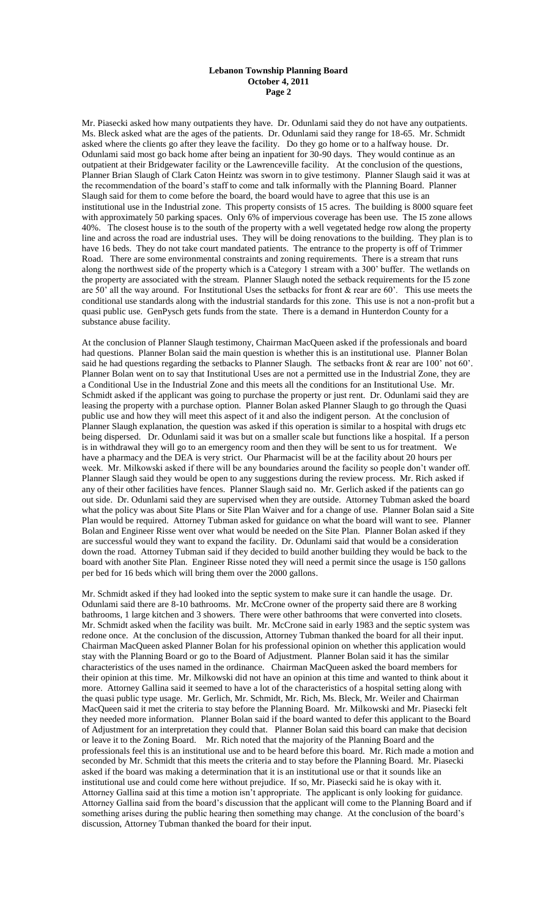### **Lebanon Township Planning Board October 4, 2011 Page 2**

Mr. Piasecki asked how many outpatients they have. Dr. Odunlami said they do not have any outpatients. Ms. Bleck asked what are the ages of the patients. Dr. Odunlami said they range for 18-65. Mr. Schmidt asked where the clients go after they leave the facility. Do they go home or to a halfway house. Dr. Odunlami said most go back home after being an inpatient for 30-90 days. They would continue as an outpatient at their Bridgewater facility or the Lawrenceville facility. At the conclusion of the questions, Planner Brian Slaugh of Clark Caton Heintz was sworn in to give testimony. Planner Slaugh said it was at the recommendation of the board's staff to come and talk informally with the Planning Board. Planner Slaugh said for them to come before the board, the board would have to agree that this use is an institutional use in the Industrial zone. This property consists of 15 acres. The building is 8000 square feet with approximately 50 parking spaces. Only 6% of impervious coverage has been use. The I5 zone allows 40%. The closest house is to the south of the property with a well vegetated hedge row along the property line and across the road are industrial uses. They will be doing renovations to the building. They plan is to have 16 beds. They do not take court mandated patients. The entrance to the property is off of Trimmer Road. There are some environmental constraints and zoning requirements. There is a stream that runs along the northwest side of the property which is a Category 1 stream with a 300' buffer. The wetlands on the property are associated with the stream. Planner Slaugh noted the setback requirements for the I5 zone are 50' all the way around. For Institutional Uses the setbacks for front & rear are 60'. This use meets the conditional use standards along with the industrial standards for this zone. This use is not a non-profit but a quasi public use. GenPysch gets funds from the state. There is a demand in Hunterdon County for a substance abuse facility.

At the conclusion of Planner Slaugh testimony, Chairman MacQueen asked if the professionals and board had questions. Planner Bolan said the main question is whether this is an institutional use. Planner Bolan said he had questions regarding the setbacks to Planner Slaugh. The setbacks front & rear are 100' not 60'. Planner Bolan went on to say that Institutional Uses are not a permitted use in the Industrial Zone, they are a Conditional Use in the Industrial Zone and this meets all the conditions for an Institutional Use. Mr. Schmidt asked if the applicant was going to purchase the property or just rent. Dr. Odunlami said they are leasing the property with a purchase option. Planner Bolan asked Planner Slaugh to go through the Quasi public use and how they will meet this aspect of it and also the indigent person. At the conclusion of Planner Slaugh explanation, the question was asked if this operation is similar to a hospital with drugs etc being dispersed. Dr. Odunlami said it was but on a smaller scale but functions like a hospital. If a person is in withdrawal they will go to an emergency room and then they will be sent to us for treatment. We have a pharmacy and the DEA is very strict. Our Pharmacist will be at the facility about 20 hours per week. Mr. Milkowski asked if there will be any boundaries around the facility so people don't wander off. Planner Slaugh said they would be open to any suggestions during the review process. Mr. Rich asked if any of their other facilities have fences. Planner Slaugh said no. Mr. Gerlich asked if the patients can go out side. Dr. Odunlami said they are supervised when they are outside. Attorney Tubman asked the board what the policy was about Site Plans or Site Plan Waiver and for a change of use. Planner Bolan said a Site Plan would be required. Attorney Tubman asked for guidance on what the board will want to see. Planner Bolan and Engineer Risse went over what would be needed on the Site Plan. Planner Bolan asked if they are successful would they want to expand the facility. Dr. Odunlami said that would be a consideration down the road. Attorney Tubman said if they decided to build another building they would be back to the board with another Site Plan. Engineer Risse noted they will need a permit since the usage is 150 gallons per bed for 16 beds which will bring them over the 2000 gallons.

Mr. Schmidt asked if they had looked into the septic system to make sure it can handle the usage. Dr. Odunlami said there are 8-10 bathrooms. Mr. McCrone owner of the property said there are 8 working bathrooms, 1 large kitchen and 3 showers. There were other bathrooms that were converted into closets. Mr. Schmidt asked when the facility was built. Mr. McCrone said in early 1983 and the septic system was redone once. At the conclusion of the discussion, Attorney Tubman thanked the board for all their input. Chairman MacQueen asked Planner Bolan for his professional opinion on whether this application would stay with the Planning Board or go to the Board of Adjustment. Planner Bolan said it has the similar characteristics of the uses named in the ordinance. Chairman MacQueen asked the board members for their opinion at this time. Mr. Milkowski did not have an opinion at this time and wanted to think about it more. Attorney Gallina said it seemed to have a lot of the characteristics of a hospital setting along with the quasi public type usage. Mr. Gerlich, Mr. Schmidt, Mr. Rich, Ms. Bleck, Mr. Weiler and Chairman MacQueen said it met the criteria to stay before the Planning Board. Mr. Milkowski and Mr. Piasecki felt they needed more information. Planner Bolan said if the board wanted to defer this applicant to the Board of Adjustment for an interpretation they could that. Planner Bolan said this board can make that decision or leave it to the Zoning Board. Mr. Rich noted that the majority of the Planning Board and the professionals feel this is an institutional use and to be heard before this board. Mr. Rich made a motion and seconded by Mr. Schmidt that this meets the criteria and to stay before the Planning Board. Mr. Piasecki asked if the board was making a determination that it is an institutional use or that it sounds like an institutional use and could come here without prejudice. If so, Mr. Piasecki said he is okay with it. Attorney Gallina said at this time a motion isn't appropriate. The applicant is only looking for guidance. Attorney Gallina said from the board's discussion that the applicant will come to the Planning Board and if something arises during the public hearing then something may change. At the conclusion of the board's discussion, Attorney Tubman thanked the board for their input.